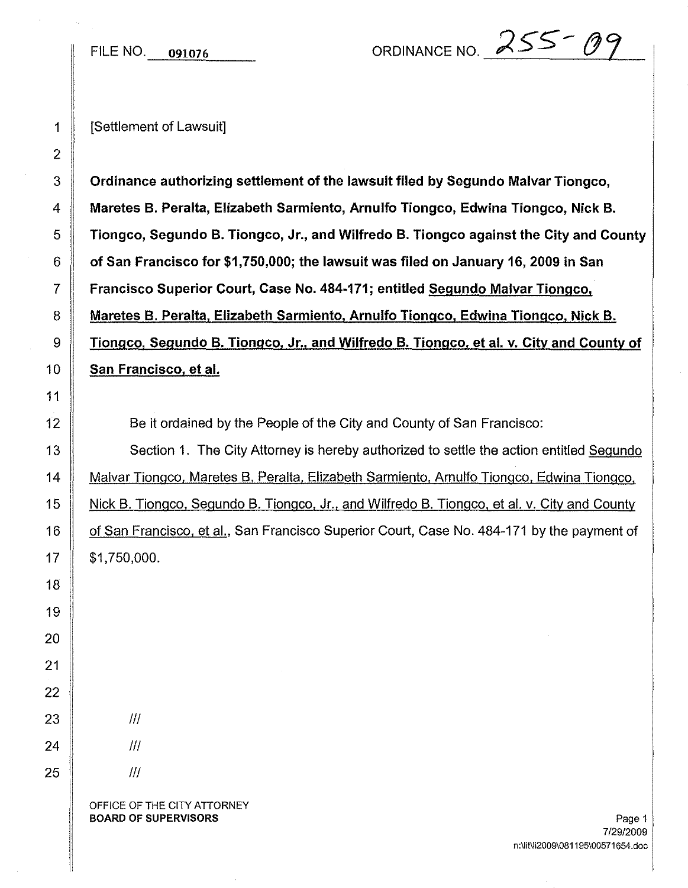FILE NO.  $0.091076$  ORDINANCE NO.  $255 - 09$ 

1 || **ISettlement of Lawsuit** 

 $3 \parallel$  Ordinance authorizing settlement of the lawsuit filed by Segundo Malvar Tiongco, 4 Maretes B. Peralta, Elizabeth Sarmiento, Arnulfo Tiongco, Edwina Tiongco, Nick B.  $5$  Tiongco, Segundo B. Tiongco, Jr., and Wilfredo B. Tiongco against the City and County  $6 \parallel$  of San Francisco for \$1,750,000; the lawsuit was filed on January 16, 2009 in San 7 Francisco Superior Court, Case No. 484-171; entitled Segundo Malvar Tiongco, 8 Maretes B. Peralta, Elizabeth Sarmiento, Arnulfo Tiongco, Edwina Tiongco, Nick B. 9 Tiongco, Segundo B. Tiongco, Jr., and Wilfredo B. Tiongco, et al. v. City and County of 10 San Francisco, et al.

12 Solution Be it ordained by the People of the City and County of San Francisco:

13 Section 1. The City Attorney is hereby authorized to settle the action entitled Segundo 14 | Malvar Tiongco, Maretes B. Peralta, Elizabeth Sarmiento, Arnulfo Tiongco, Edwina Tiongco, 15 Nick B. Tiongco, Segundo B. Tiongco, Jr., and Wilfredo B. Tiongco, et al. v. City and County 16 | of San Francisco, et al., San Francisco Superior Court, Case No. 484-171 by the payment of  $17 \parallel$  \$1,750,000.

 $\overline{2}$ 

!

OFFICE OF THE CITY ATTORNEY **BOARD OF SUPERVISORS** Page 1

 $III$ 

III

III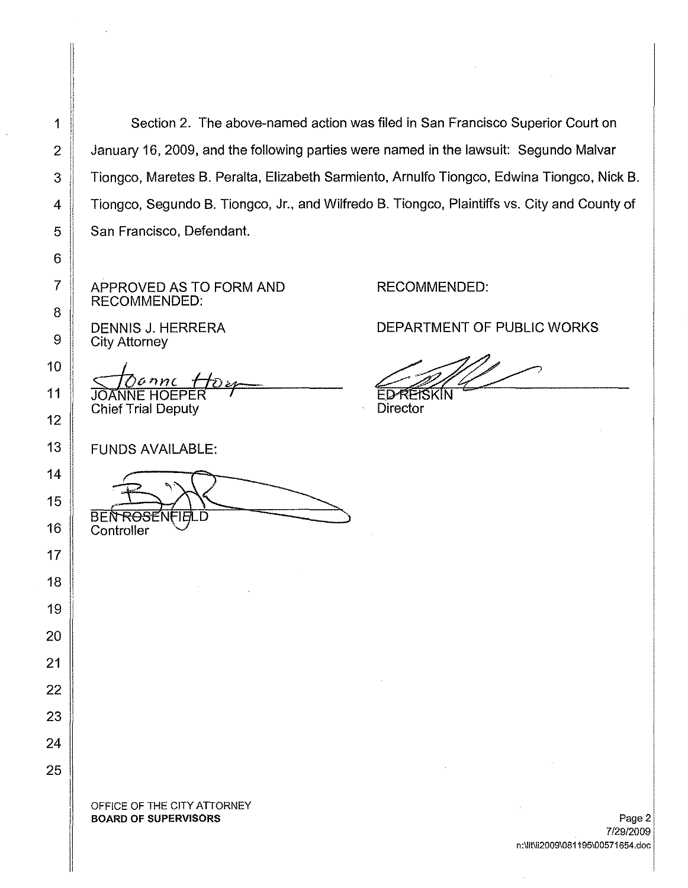1 Section 2. The above-named action was filed in San Francisco Superior Court on 2 January 16, 2009, and the following parties were named in the lawsuit: Segundo Malvar 3 | Tiongco, Maretes B. Peralta, Elizabeth Sarmiento, Arnulfo Tiongco, Edwina Tiongco, Nick B. 4 | Tiongco, Segundo B. Tiongco, Jr., and Wilfredo B. Tiongco, Plaintiffs vs. City and County of 5 | San Francisco, Defendant.

APPROVED AS TO FORM AND RECOMMENDED:

DENNIS J. HERRERA City Attorney

**I** <u>Sanne f</u><br>JOANNE HOEPEI **Chief Trial Deputy** 

FUNDS AVAILABLE:

**BEN ROSENFIELD** Controller

RECOMMENDED:

DEPARTMENT OF PUBLIC WORKS

**ED-REISKIN** 

**Director** 

OFFICE OF THE CITY ATTORNEY BOARD OF SUPERVISORS